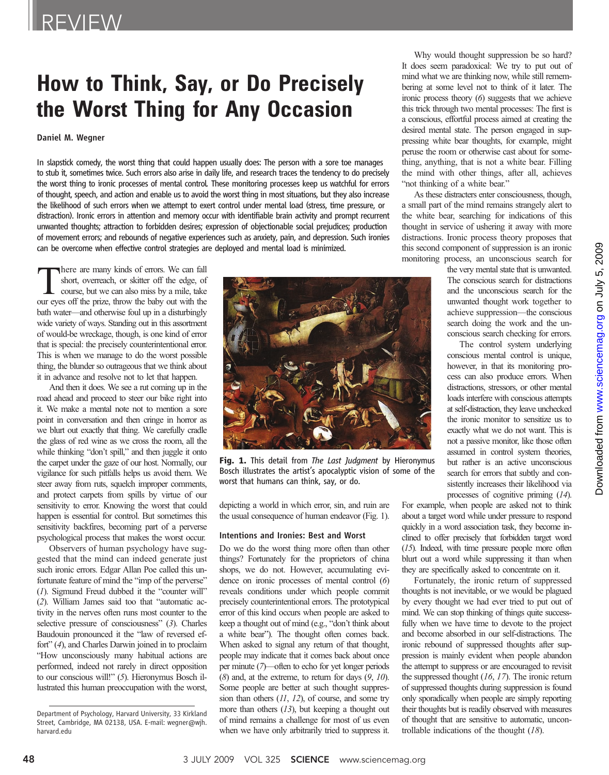# REVIEW

# **The Worst Thing for Any Occasion** the World for Angles Thing for Angles of Angles Construction<br>Daniel M. Wenner

### Daniel M. Wegner

In slapstick comedy, the worst thing that could happen usually does: The person with a sore toe manages to stub it, sometimes twice. Such errors also arise in daily life, and research traces the tendency to do precisely the worst thing to ironic processes of mental control. These monitoring processes keep us watchful for errors of thought, speech, and action and enable us to avoid the worst thing in most situations, but they also increase the likelihood of such errors when we attempt to exert control under mental load (stress, time pressure, or distraction). Ironic errors in attention and memory occur with identifiable brain activity and prompt recurrent unwanted thoughts; attraction to forbidden desires; expression of objectionable social prejudices; production of movement errors; and rebounds of negative experiences such as anxiety, pain, and depression. Such ironies can be overcome when effective control strategies are deployed and mental load is minimized.

there are many kinds of errors. We can fall short, overreach, or skitter off the edge, of course, but we can also miss by a mile, take our eyes off the prize, throw the baby out with the bath water—and otherwise foul up in a disturbingly wide variety of ways. Standing out in this assortment of would-be wreckage, though, is one kind of error that is special: the precisely counterintentional error. This is when we manage to do the worst possible thing, the blunder so outrageous that we think about it in advance and resolve not to let that happen.

And then it does. We see a rut coming up in the road ahead and proceed to steer our bike right into it. We make a mental note not to mention a sore point in conversation and then cringe in horror as we blurt out exactly that thing. We carefully cradle the glass of red wine as we cross the room, all the while thinking "don't spill," and then juggle it onto the carpet under the gaze of our host. Normally, our vigilance for such pitfalls helps us avoid them. We steer away from ruts, squelch improper comments, and protect carpets from spills by virtue of our sensitivity to error. Knowing the worst that could happen is essential for control. But sometimes this sensitivity backfires, becoming part of a perverse psychological process that makes the worst occur.

Observers of human psychology have suggested that the mind can indeed generate just such ironic errors. Edgar Allan Poe called this unfortunate feature of mind the "imp of the perverse" (1). Sigmund Freud dubbed it the "counter will" (2). William James said too that "automatic activity in the nerves often runs most counter to the selective pressure of consciousness" (3). Charles Baudouin pronounced it the "law of reversed effort" (4), and Charles Darwin joined in to proclaim "How unconsciously many habitual actions are performed, indeed not rarely in direct opposition to our conscious will!" (5). Hieronymus Bosch illustrated this human preoccupation with the worst,



Fig. 1. This detail from The Last Judgment by Hieronymus Bosch illustrates the artist's apocalyptic vision of some of the worst that humans can think, say, or do.

depicting a world in which error, sin, and ruin are the usual consequence of human endeavor (Fig. 1).

## Intentions and Ironies: Best and Worst

Do we do the worst thing more often than other things? Fortunately for the proprietors of china shops, we do not. However, accumulating evidence on ironic processes of mental control (6) reveals conditions under which people commit precisely counterintentional errors. The prototypical error of this kind occurs when people are asked to keep a thought out of mind (e.g., "don't think about a white bear"). The thought often comes back. When asked to signal any return of that thought, people may indicate that it comes back about once per minute (7)—often to echo for yet longer periods  $(8)$  and, at the extreme, to return for days  $(9, 10)$ . Some people are better at such thought suppression than others (11, 12), of course, and some try more than others (13), but keeping a thought out of mind remains a challenge for most of us even when we have only arbitrarily tried to suppress it.

Why would thought suppression be so hard? It does seem paradoxical: We try to put out of mind what we are thinking now, while still remembering at some level not to think of it later. The ironic process theory (6) suggests that we achieve this trick through two mental processes: The first is a conscious, effortful process aimed at creating the desired mental state. The person engaged in suppressing white bear thoughts, for example, might peruse the room or otherwise cast about for something, anything, that is not a white bear. Filling the mind with other things, after all, achieves "not thinking of a white bear."

As these distracters enter consciousness, though, a small part of the mind remains strangely alert to the white bear, searching for indications of this thought in service of ushering it away with more distractions. Ironic process theory proposes that this second component of suppression is an ironic monitoring process, an unconscious search for

> the very mental state that is unwanted. The conscious search for distractions and the unconscious search for the unwanted thought work together to achieve suppression—the conscious search doing the work and the unconscious search checking for errors.

> The control system underlying conscious mental control is unique, however, in that its monitoring process can also produce errors. When distractions, stressors, or other mental loads interfere with conscious attempts at self-distraction, they leave unchecked the ironic monitor to sensitize us to exactly what we do not want. This is not a passive monitor, like those often assumed in control system theories, but rather is an active unconscious search for errors that subtly and consistently increases their likelihood via processes of cognitive priming (14).

For example, when people are asked not to think about a target word while under pressure to respond quickly in a word association task, they become inclined to offer precisely that forbidden target word (15). Indeed, with time pressure people more often blurt out a word while suppressing it than when they are specifically asked to concentrate on it.

Fortunately, the ironic return of suppressed thoughts is not inevitable, or we would be plagued by every thought we had ever tried to put out of mind. We can stop thinking of things quite successfully when we have time to devote to the project and become absorbed in our self-distractions. The ironic rebound of suppressed thoughts after suppression is mainly evident when people abandon the attempt to suppress or are encouraged to revisit the suppressed thought  $(16, 17)$ . The ironic return of suppressed thoughts during suppression is found only sporadically when people are simply reporting their thoughts but is readily observed with measures of thought that are sensitive to automatic, uncontrollable indications of the thought  $(18)$ .

Department of Psychology, Harvard University, 33 Kirkland Street, Cambridge, MA 02138, USA. E-mail: wegner@wjh. harvard.edu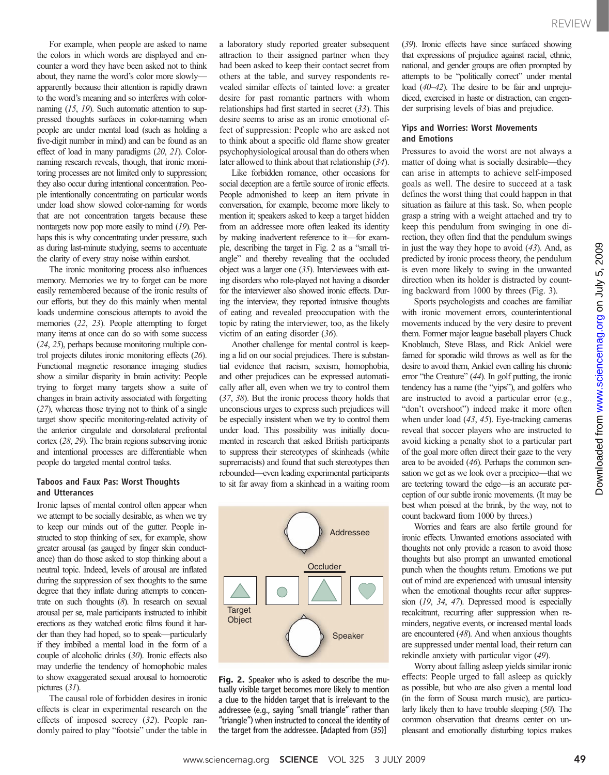For example, when people are asked to name the colors in which words are displayed and encounter a word they have been asked not to think about, they name the word's color more slowly apparently because their attention is rapidly drawn to the word's meaning and so interferes with colornaming (15, 19). Such automatic attention to suppressed thoughts surfaces in color-naming when people are under mental load (such as holding a five-digit number in mind) and can be found as an effect of load in many paradigms (20, 21). Colornaming research reveals, though, that ironic monitoring processes are not limited only to suppression; they also occur during intentional concentration. People intentionally concentrating on particular words under load show slowed color-naming for words that are not concentration targets because these nontargets now pop more easily to mind (19). Perhaps this is why concentrating under pressure, such as during last-minute studying, seems to accentuate the clarity of every stray noise within earshot.

The ironic monitoring process also influences memory. Memories we try to forget can be more easily remembered because of the ironic results of our efforts, but they do this mainly when mental loads undermine conscious attempts to avoid the memories (22, 23). People attempting to forget many items at once can do so with some success (24, 25), perhaps because monitoring multiple control projects dilutes ironic monitoring effects (26). Functional magnetic resonance imaging studies show a similar disparity in brain activity: People trying to forget many targets show a suite of changes in brain activity associated with forgetting (27), whereas those trying not to think of a single target show specific monitoring-related activity of the anterior cingulate and dorsolateral prefrontal cortex (28, 29). The brain regions subserving ironic and intentional processes are differentiable when people do targeted mental control tasks.

#### Taboos and Faux Pas: Worst Thoughts and Utterances

Ironic lapses of mental control often appear when we attempt to be socially desirable, as when we try to keep our minds out of the gutter. People instructed to stop thinking of sex, for example, show greater arousal (as gauged by finger skin conductance) than do those asked to stop thinking about a neutral topic. Indeed, levels of arousal are inflated during the suppression of sex thoughts to the same degree that they inflate during attempts to concentrate on such thoughts (8). In research on sexual arousal per se, male participants instructed to inhibit erections as they watched erotic films found it harder than they had hoped, so to speak—particularly if they imbibed a mental load in the form of a couple of alcoholic drinks (30). Ironic effects also may underlie the tendency of homophobic males to show exaggerated sexual arousal to homoerotic pictures (31).

The causal role of forbidden desires in ironic effects is clear in experimental research on the effects of imposed secrecy (32). People randomly paired to play "footsie" under the table in

a laboratory study reported greater subsequent attraction to their assigned partner when they had been asked to keep their contact secret from others at the table, and survey respondents revealed similar effects of tainted love: a greater desire for past romantic partners with whom relationships had first started in secret (33). This desire seems to arise as an ironic emotional effect of suppression: People who are asked not to think about a specific old flame show greater psychophysiological arousal than do others when later allowed to think about that relationship (34).

Like forbidden romance, other occasions for social deception are a fertile source of ironic effects. People admonished to keep an item private in conversation, for example, become more likely to mention it; speakers asked to keep a target hidden from an addressee more often leaked its identity by making inadvertent reference to it—for example, describing the target in Fig. 2 as a "small triangle" and thereby revealing that the occluded object was a larger one (35). Interviewees with eating disorders who role-played not having a disorder for the interviewer also showed ironic effects. During the interview, they reported intrusive thoughts of eating and revealed preoccupation with the topic by rating the interviewer, too, as the likely victim of an eating disorder (36).

Another challenge for mental control is keeping a lid on our social prejudices. There is substantial evidence that racism, sexism, homophobia, and other prejudices can be expressed automatically after all, even when we try to control them (37, 38). But the ironic process theory holds that unconscious urges to express such prejudices will be especially insistent when we try to control them under load. This possibility was initially documented in research that asked British participants to suppress their stereotypes of skinheads (white supremacists) and found that such stereotypes then rebounded—even leading experimental participants to sit far away from a skinhead in a waiting room



Fig. 2. Speaker who is asked to describe the mutually visible target becomes more likely to mention a clue to the hidden target that is irrelevant to the addressee (e.g., saying "small triangle" rather than "triangle") when instructed to conceal the identity of the target from the addressee. [Adapted from (35)]

(39). Ironic effects have since surfaced showing that expressions of prejudice against racial, ethnic, national, and gender groups are often prompted by attempts to be "politically correct" under mental load (40–42). The desire to be fair and unprejudiced, exercised in haste or distraction, can engender surprising levels of bias and prejudice.

### Yips and Worries: Worst Movements and Emotions

Pressures to avoid the worst are not always a matter of doing what is socially desirable—they can arise in attempts to achieve self-imposed goals as well. The desire to succeed at a task defines the worst thing that could happen in that situation as failure at this task. So, when people grasp a string with a weight attached and try to keep this pendulum from swinging in one direction, they often find that the pendulum swings in just the way they hope to avoid  $(43)$ . And, as predicted by ironic process theory, the pendulum is even more likely to swing in the unwanted direction when its holder is distracted by counting backward from 1000 by threes (Fig. 3).

Sports psychologists and coaches are familiar with ironic movement errors, counterintentional movements induced by the very desire to prevent them. Former major league baseball players Chuck Knoblauch, Steve Blass, and Rick Ankiel were famed for sporadic wild throws as well as for the desire to avoid them, Ankiel even calling his chronic error "the Creature" (44). In golf putting, the ironic tendency has a name (the "yips"), and golfers who are instructed to avoid a particular error (e.g., "don't overshoot") indeed make it more often when under load (43, 45). Eye-tracking cameras reveal that soccer players who are instructed to avoid kicking a penalty shot to a particular part of the goal more often direct their gaze to the very area to be avoided (46). Perhaps the common sensation we get as we look over a precipice—that we are teetering toward the edge—is an accurate perception of our subtle ironic movements. (It may be best when poised at the brink, by the way, not to count backward from 1000 by threes.)

Worries and fears are also fertile ground for ironic effects. Unwanted emotions associated with thoughts not only provide a reason to avoid those thoughts but also prompt an unwanted emotional punch when the thoughts return. Emotions we put out of mind are experienced with unusual intensity when the emotional thoughts recur after suppression (19, 34, 47). Depressed mood is especially recalcitrant, recurring after suppression when reminders, negative events, or increased mental loads are encountered (48). And when anxious thoughts are suppressed under mental load, their return can rekindle anxiety with particular vigor (49).

Worry about falling asleep yields similar ironic effects: People urged to fall asleep as quickly as possible, but who are also given a mental load (in the form of Sousa march music), are particularly likely then to have trouble sleeping (50). The common observation that dreams center on unpleasant and emotionally disturbing topics makes